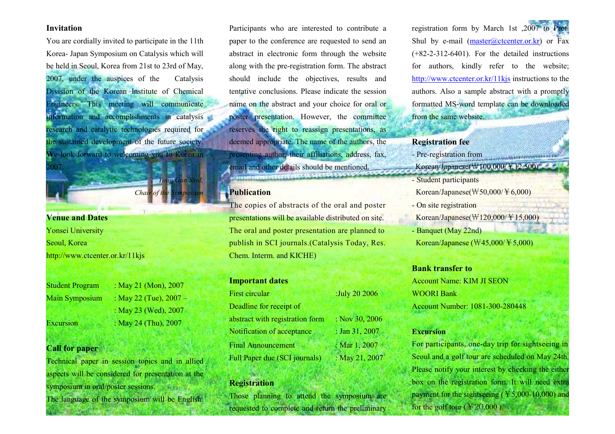#### Invitation

You are cordially invited to participate in the 11th Korea- Japan Symposium on Catalysis which will be held in Seoul, Korea from 21st to 23rd of May, 2007, under the auspices of the Catalysis Division of the Korean Institute of Chemical Engineers. This meeting will communicate information and accomplishments in catalysis research and catalytic technologies required for the sustained development of the future society.We look forward to welcoming you to Korea in 007

Chair of the Symposium

**Yong Gun Shul,** 

# Venue and Dates

Yonsei University Seoul, Korea http://www.ctcenter.or.kr/11kjs

Student Program : May 21 (Mon), 2007 Main Symposium : May 22 (Tue),  $2007 -$ : May 23 (Wed), 2007 Excursion : May 24 (Thu),  $2007$ 

### Call for paper

Technical paper in session topics and in allied aspects will be considered for presentation at the symposium in oral/poster sessions. The language of the symposium will be English.

Participants who are interested to contribute a paper to the conference are requested to send an abstract in electronic form through the website along with the pre-registration form. The abstract should include the objectives, results and tentative conclusions. Please indicate the session name on the abstract and your choice for oral or poster presentation. However, the committee reserves the right to reassign presentations, as deemed appropriate. The name of the authors, the presenting author, their affiliations, address, fax, email and other details should be mentioned. **A CONTRACTOR DESCRIPTION OF A CARD OF CARD** 

# **Publication**

The copies of abstracts of the oral and posterpresentations will be available distributed on site. The oral and poster presentation are planned to publish in SCI journals.(Catalysis Today, Res.Chem. Interm. and KICHE)

| :July 20 2006  |
|----------------|
|                |
| : Nov 30, 2006 |
| : Jan 31, 2007 |
| : Mar 1, 2007  |
| : May 21, 2007 |
|                |

## Registration

Those planning to attend the symposium are requested to complete and return the preliminary

registration form by March 1st ,2007 to Prof. Shul by e-mail  $(master@ctcenter or kr)$  or Fax (+82-2-312-6401). For the detailed instructions for authors, kindly refer to the website; http://www.ctcenter.or.kr/11kjs instructions to the authors. Also a sample abstract with a promptly formatted MS-word template can be downloaded from the same website.

# Registration fee

- Pre-registration from
- Korean/Japanese( $\Psi$ 100,000/¥12,500)

*<u>COLLEGEOROPHILE</u>* 

- Student participants
- Korean/Japanese( $W50,000/F6,000$ )
- On site registration
- Korean/Japanese( $\sqrt{120,000}$ /¥15,000)
- Banquet (May 22nd) Korean/Japanese ( $\text{W45,000}/\text{F}5,000$ )

#### Bank transfer to

Account Name: KIM JI SEON WOORI Bank Account Number: 1081-300-280448

#### Excursion

For participants, one-day trip for sightseeing inSeoul and a golf tour are scheduled on May 24th. Please notify your interest by checking the either box on the registration form. It will need extra payment for the sightseeing ( $\text{\textsterling}5,000\text{-}10,000$ ) and for the golf tour ( $\text{\textsterling}20,000$ ).